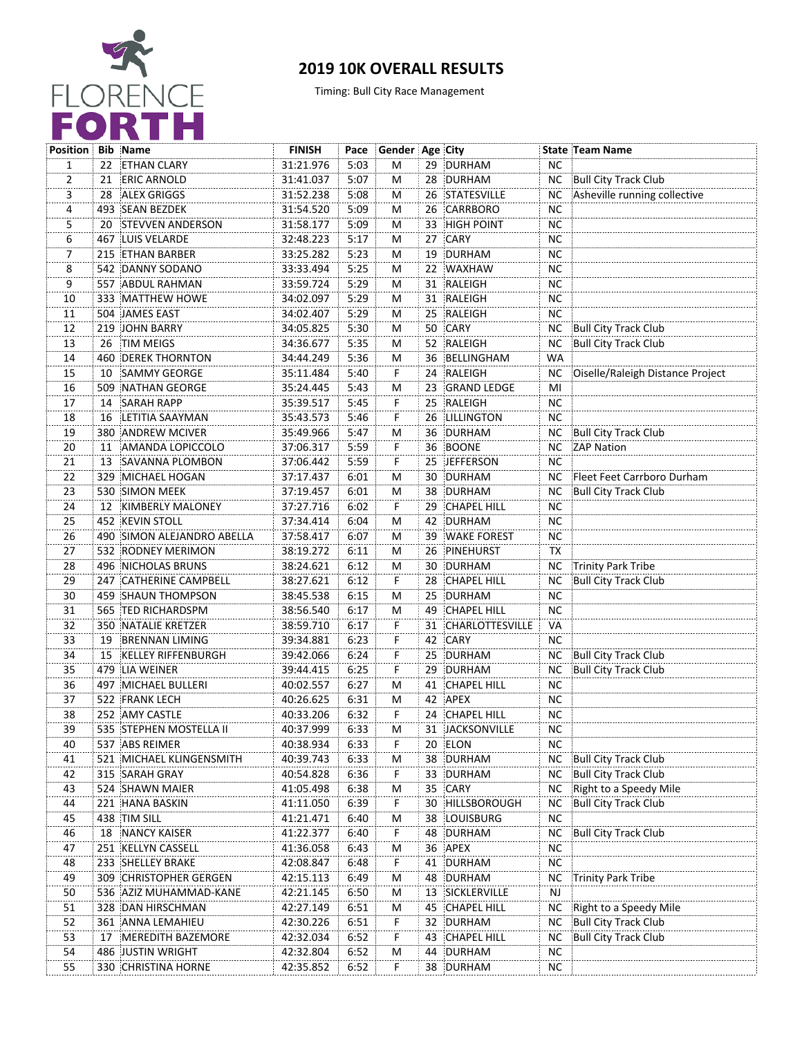

## **2019 10K OVERALL RESULTS**

Timing: Bull City Race Management

| <b>Position</b> |     | <b>Bib Name</b>            | <b>FINISH</b> | Pace | Gender Age City |    |                    |           | <b>State Team Name</b>           |
|-----------------|-----|----------------------------|---------------|------|-----------------|----|--------------------|-----------|----------------------------------|
| 1               |     | 22 ETHAN CLARY             | 31:21.976     | 5:03 | M               |    | 29 DURHAM          | <b>NC</b> |                                  |
| 2               |     | 21 ERIC ARNOLD             | 31:41.037     | 5:07 | М               |    | 28 DURHAM          |           | NC Bull City Track Club          |
| 3               | 28  | ALEX GRIGGS                | 31:52.238     | 5:08 | м               |    | 26 STATESVILLE     | NC.       | Asheville running collective     |
| 4               |     | 493 SEAN BEZDEK            | 31:54.520     | 5:09 | м               |    | 26 CARRBORO        | <b>NC</b> |                                  |
| 5               |     | 20 STEVVEN ANDERSON        | 31:58.177     | 5:09 | M               | 33 | <b>HIGH POINT</b>  | <b>NC</b> |                                  |
| 6               |     | <b>467 LUIS VELARDE</b>    | 32:48.223     | 5:17 | М               | 27 | CARY               | <b>NC</b> |                                  |
| 7               |     | 215 ETHAN BARBER           | 33:25.282     | 5:23 | M               | 19 | DURHAM             | <b>NC</b> |                                  |
| 8               |     | 542 DANNY SODANO           | 33:33.494     | 5:25 | M               |    | 22 WAXHAW          | <b>NC</b> |                                  |
| 9               |     | 557 ABDUL RAHMAN           | 33:59.724     | 5:29 | М               |    | 31 RALEIGH         | <b>NC</b> |                                  |
| 10              |     | 333 MATTHEW HOWE           | 34:02.097     | 5:29 | М               |    | 31 RALEIGH         | <b>NC</b> |                                  |
| 11              |     | 504 JAMES EAST             | 34:02.407     | 5:29 | М               |    | 25 RALEIGH         | <b>NC</b> |                                  |
| 12              |     | 219 JOHN BARRY             | 34:05.825     | 5:30 | М               | 50 | CARY               | NC.       | <b>Bull City Track Club</b>      |
| 13              |     | 26 TIM MEIGS               | 34:36.677     | 5:35 | м               |    | 52 RALEIGH         | NC.       | Bull City Track Club             |
| 14              |     | <b>460 DEREK THORNTON</b>  | 34:44.249     | 5:36 | M               | 36 | BELLINGHAM         | WA        |                                  |
| 15              | 10  | <b>SAMMY GEORGE</b>        | 35:11.484     | 5:40 | F.              |    | 24 RALEIGH         | NC.       | Oiselle/Raleigh Distance Project |
| 16              |     | 509 NATHAN GEORGE          | 35:24.445     | 5:43 | M               | 23 | <b>GRAND LEDGE</b> | MI        |                                  |
| 17              | 14  | <b>SARAH RAPP</b>          | 35:39.517     | 5:45 | F               | 25 | RALEIGH            | <b>NC</b> |                                  |
| 18              | 16  | LETITIA SAAYMAN            | 35:43.573     | 5:46 | F               | 26 | LILLINGTON         | <b>NC</b> |                                  |
| 19              |     | 380 ANDREW MCIVER          | 35:49.966     | 5:47 | М               |    | 36 DURHAM          | ΝC        | Bull City Track Club             |
| 20              | 11  | AMANDA LOPICCOLO           | 37:06.317     | 5:59 | F               |    | 36 BOONE           |           | NC ZAP Nation                    |
| 21              | 13  | SAVANNA PLOMBON            | 37:06.442     | 5:59 | F               | 25 | <b>JEFFERSON</b>   | <b>NC</b> |                                  |
| 22              |     | 329 MICHAEL HOGAN          | 37:17.437     | 6:01 | м               | 30 | DURHAM             | NC.       | Fleet Feet Carrboro Durham       |
| 23              |     | 530 SIMON MEEK             | 37:19.457     | 6:01 | M               |    | 38 DURHAM          | NC.       | <b>Bull City Track Club</b>      |
| 24              |     | 12 KIMBERLY MALONEY        | 37:27.716     | 6:02 | F.              | 29 | <b>CHAPEL HILL</b> | <b>NC</b> |                                  |
| 25              |     | <b>452 KEVIN STOLL</b>     | 37:34.414     | 6:04 | M               | 42 | DURHAM             | <b>NC</b> |                                  |
| 26              |     | 490 SIMON ALEJANDRO ABELLA | 37:58.417     | 6:07 | M               | 39 | <b>WAKE FOREST</b> | <b>NC</b> |                                  |
| 27              |     | 532 RODNEY MERIMON         | 38:19.272     | 6:11 | M               | 26 | PINEHURST          | TX        |                                  |
| 28              |     | 496 NICHOLAS BRUNS         | 38:24.621     | 6:12 | м               |    | 30 DURHAM          | NC.       | Trinity Park Tribe               |
| 29              |     | 247 CATHERINE CAMPBELL     | 38:27.621     | 6:12 | F               |    | 28 CHAPEL HILL     | NC        | Bull City Track Club             |
| 30              |     | 459 SHAUN THOMPSON         | 38:45.538     | 6:15 | М               | 25 | DURHAM             | <b>NC</b> |                                  |
| 31              |     | 565 TED RICHARDSPM         | 38:56.540     | 6:17 | М               | 49 | <b>CHAPEL HILL</b> | <b>NC</b> |                                  |
| 32              |     | 350 NATALIE KRETZER        | 38:59.710     | 6:17 | F,              |    | 31 CHARLOTTESVILLE | VA        |                                  |
| 33              | 19  | <b>BRENNAN LIMING</b>      | 39:34.881     | 6:23 | F               |    | 42 CARY            | <b>NC</b> |                                  |
| 34              | 15  | <b>KELLEY RIFFENBURGH</b>  | 39:42.066     | 6:24 | F               | 25 | DURHAM             | NC.       | Bull City Track Club             |
| 35              |     | 479 LIA WEINER             | 39:44.415     | 6:25 | Ë               | 29 | DURHAM             | ΝC        | <b>Bull City Track Club</b>      |
| 36              |     | 497 MICHAEL BULLERI        | 40:02.557     | 6:27 | м               | 41 | <b>CHAPEL HILL</b> | <b>NC</b> |                                  |
| 37              |     | 522 FRANK LECH             | 40:26.625     | 6:31 | м               |    | 42 APEX            | NC        |                                  |
| 38              |     | 252 AMY CASTLE             | 40:33.206     | 6:32 | F               |    | 24 CHAPEL HILL     | <b>NC</b> |                                  |
| 39              |     | 535 STEPHEN MOSTELLA II    | 40:37.999     | 6:33 | м               |    | 31 JACKSONVILLE    | <b>NC</b> |                                  |
| 40              |     | 537 ABS REIMER             | 40:38.934     | 6:33 | F               |    | 20 ELON            | NC.       |                                  |
| 41              | 521 | MICHAEL KLINGENSMITH       | 40:39.743     | 6:33 | M               | 38 | DURHAM             | NC.       | Bull City Track Club             |
| 42              |     | 315 SARAH GRAY             | 40:54.828     | 6:36 | F.              | 33 | DURHAM             | ΝC        | Bull City Track Club             |
| 43              |     | 524 SHAWN MAIER            | 41:05.498     | 6:38 | M               | 35 | CARY               | <b>NC</b> | Right to a Speedy Mile           |
| 44              | 221 | <b>HANA BASKIN</b>         | 41:11.050     | 6:39 | F               | 30 | HILLSBOROUGH       | NС        | <b>Bull City Track Club</b>      |
| 45              |     | 438 TIM SILL               | 41:21.471     | 6:40 | м               | 38 | LOUISBURG          | <b>NC</b> |                                  |
| 46              | 18  | <b>NANCY KAISER</b>        | 41:22.377     | 6:40 | Ë               | 48 | DURHAM             | <b>NC</b> | Bull City Track Club             |
| 47              |     | 251 KELLYN CASSELL         | 41:36.058     | 6:43 | м               |    | 36 APEX            | <b>NC</b> |                                  |
| 48              |     | 233 SHELLEY BRAKE          | 42:08.847     | 6:48 | F               | 41 | DURHAM             | <b>NC</b> |                                  |
|                 |     | 309 CHRISTOPHER GERGEN     | 42:15.113     | 6:49 | M               | 48 | DURHAM             | NC.       | Trinity Park Tribe               |
| 49<br>50        |     | 536 AZIZ MUHAMMAD-KANE     | 42:21.145     | 6:50 | M               |    | 13 SICKLERVILLE    | NJ        |                                  |
| 51              |     | 328 DAN HIRSCHMAN          | 42:27.149     | 6:51 | M               | 45 | CHAPEL HILL        | NC.       | Right to a Speedy Mile           |
| 52              |     | 361 ANNA LEMAHIEU          | 42:30.226     | 6:51 | F               | 32 | <b>DURHAM</b>      | NC.       | <b>Bull City Track Club</b>      |
| 53              | 17  | MEREDITH BAZEMORE          | 42:32.034     | 6:52 | F               | 43 | CHAPEL HILL        | <b>NC</b> | Bull City Track Club             |
| 54              |     | 486 JUSTIN WRIGHT          | 42:32.804     | 6:52 | м               | 44 | DURHAM             | <b>NC</b> |                                  |
| $\overline{55}$ |     |                            |               |      | F.              |    | 38 DURHAM          | NC        |                                  |
|                 |     | 330 CHRISTINA HORNE        | 42:35.852     | 6:52 |                 |    |                    |           |                                  |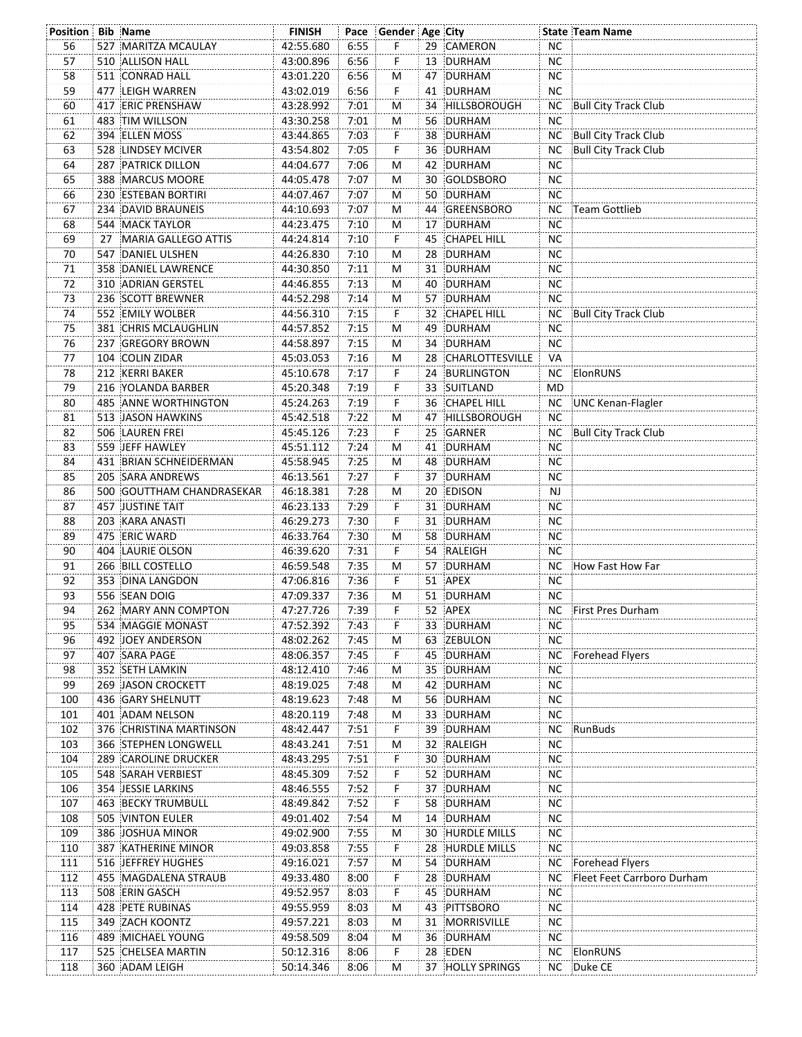| Position Bib Name |                           | <b>FINISH</b> |      | Pace Gender Age City |    |                    |           | <b>State Team Name</b>      |
|-------------------|---------------------------|---------------|------|----------------------|----|--------------------|-----------|-----------------------------|
| 56                | 527 MARITZA MCAULAY       | 42:55.680     | 6:55 | F.                   |    | 29 CAMERON         | <b>NC</b> |                             |
| 57                | 510 ALLISON HALL          | 43:00.896     | 6:56 | F                    |    | 13 DURHAM          | NC.       |                             |
| 58                | 511 CONRAD HALL           | 43:01.220     | 6:56 | м                    |    | 47 DURHAM          | NC.       |                             |
| 59                | 477 LEIGH WARREN          | 43:02.019     | 6:56 | F.                   |    | 41 DURHAM          | <b>NC</b> |                             |
| 60                | 417 ERIC PRENSHAW         | 43:28.992     | 7:01 | M                    |    | 34 HILLSBOROUGH    |           | NC Bull City Track Club     |
| 61                | 483 TIM WILLSON           | 43:30.258     | 7:01 | M                    |    | 56 DURHAM          | <b>NC</b> |                             |
| 62                | 394 ELLEN MOSS            | 43:44.865     | 7:03 | F                    |    | 38 DURHAM          | ΝC        | Bull City Track Club        |
| 63                | 528 LINDSEY MCIVER        | 43:54.802     | 7:05 | F                    |    | 36 DURHAM          | ΝC        | Bull City Track Club        |
| 64                | <b>287 PATRICK DILLON</b> | 44:04.677     | 7:06 | м                    |    | 42 DURHAM          | <b>NC</b> |                             |
| 65                | 388 MARCUS MOORE          | 44:05.478     | 7:07 | M                    |    | 30 GOLDSBORO       | <b>NC</b> |                             |
| 66                | 230 ESTEBAN BORTIRI       | 44:07.467     | 7:07 | М                    | 50 | DURHAM             | NC.       |                             |
| 67                | 234 DAVID BRAUNEIS        | 44:10.693     | 7:07 | М                    |    | 44 GREENSBORO      | ΝC        | Team Gottlieb               |
| 68                | 544 MACK TAYLOR           | 44:23.475     | 7:10 | M                    |    | 17 DURHAM          | NС        |                             |
| 69                | 27 MARIA GALLEGO ATTIS    | 44:24.814     | 7:10 | F                    | 45 | <b>CHAPEL HILL</b> | <b>NC</b> |                             |
| 70                | 547 DANIEL ULSHEN         | 44:26.830     | 7:10 | M                    | 28 | DURHAM             | <b>NC</b> |                             |
| 71                | 358 DANIEL LAWRENCE       | 44:30.850     | 7:11 | м                    |    | 31 DURHAM          | <b>NC</b> |                             |
| 72                | 310 ADRIAN GERSTEL        | 44:46.855     | 7:13 | м                    | 40 | DURHAM             | NC.       |                             |
| 73                | 236 SCOTT BREWNER         | 44:52.298     | 7:14 | м                    |    | 57 DURHAM          | <b>NC</b> |                             |
| $\overline{74}$   | 552 EMILY WOLBER          | 44:56.310     | 7:15 | F                    |    | 32 CHAPEL HILL     |           | NC Bull City Track Club     |
| 75                | 381 CHRIS MCLAUGHLIN      | 44:57.852     | 7:15 | M                    | 49 | DURHAM             | NС        |                             |
| 76                | 237 GREGORY BROWN         | 44:58.897     | 7:15 | М                    |    | 34 DURHAM          | <b>NC</b> |                             |
| 77                | 104 COLIN ZIDAR           | 45:03.053     | 7:16 | M                    |    | 28 CHARLOTTESVILLE | VA        |                             |
| 78                | 212 KERRI BAKER           | 45:10.678     | 7:17 | F.                   |    | 24 BURLINGTON      |           | NC ElonRUNS                 |
| 79                | 216 YOLANDA BARBER        | 45:20.348     | 7:19 | F                    |    | 33 SUITLAND        | MD        |                             |
| 80                | 485 ANNE WORTHINGTON      | 45:24.263     | 7:19 | $\overline{F}$       |    | 36 CHAPEL HILL     | NC.       | UNC Kenan-Flagler           |
| 81                | 513 JASON HAWKINS         | 45:42.518     | 7:22 | м                    |    | 47 HILLSBOROUGH    | <b>NC</b> |                             |
| 82                | 506 LAUREN FREI           | 45:45.126     | 7:23 | F                    | 25 | GARNER             | NC        | <b>Bull City Track Club</b> |
| 83                | 559 JEFF HAWLEY           | 45:51.112     | 7:24 | М                    |    | 41 DURHAM          | <b>NC</b> |                             |
| 84                | 431 BRIAN SCHNEIDERMAN    | 45:58.945     | 7:25 | М                    |    | 48 DURHAM          | <b>NC</b> |                             |
| 85                | 205 SARA ANDREWS          | 46:13.561     | 7:27 | F.                   |    | 37 DURHAM          | <b>NC</b> |                             |
| 86                | 500 GOUTTHAM CHANDRASEKAR | 46:18.381     | 7:28 | M                    |    | 20 EDISON          | NJ        |                             |
| 87                | <b>457 JUSTINE TAIT</b>   | 46:23.133     | 7:29 | F.                   |    | 31 DURHAM          | NC.       |                             |
| 88                | 203 KARA ANASTI           | 46:29.273     | 7:30 | F                    |    | 31 DURHAM          | <b>NC</b> |                             |
| 89                | 475 ERIC WARD             | 46:33.764     | 7:30 | M                    |    | 58 DURHAM          | ΝC        |                             |
| 90                | 404 LAURIE OLSON          | 46:39.620     | 7:31 | F.                   |    | 54 RALEIGH         | ΝC        |                             |
| 91                | 266 BILL COSTELLO         | 46:59.548     | 7:35 | м                    |    | 57 DURHAM          | NC        | How Fast How Far            |
| $\overline{92}$   | 353 DINA LANGDON          | 47:06.816     | 7:36 | F                    |    | 51 APEX            | <b>NC</b> |                             |
| 93                | 556 SEAN DOIG             | 47:09.337     | 7:36 | М                    |    | 51 DURHAM          | NC.       |                             |
| 94                | 262 MARY ANN COMPTON      | 47:27.726     | 7:39 | F                    |    | 52 APEX            | NС        | First Pres Durham           |
| 95                | 534 MAGGIE MONAST         | 47:52.392     | 7:43 | F.                   |    | 33 DURHAM          | NС        |                             |
| 96                | 492 JOEY ANDERSON         | 48:02.262     | 7:45 | M                    |    | 63 ZEBULON         | <b>NC</b> |                             |
| 97                | 407 SARA PAGE             | 48:06.357     | 7:45 | F                    |    | 45 DURHAM          | NC        | Forehead Flyers             |
| 98                | 352 SETH LAMKIN           | 48:12.410     | 7:46 | M                    | 35 | DURHAM             | NС        |                             |
| 99                | <b>269 JASON CROCKETT</b> | 48:19.025     | 7:48 | M                    | 42 | DURHAM             | NC.       |                             |
| 100               | 436 GARY SHELNUTT         | 48:19.623     | 7:48 | м                    | 56 | DURHAM             | <b>NC</b> |                             |
| 101               | 401 ADAM NELSON           | 48:20.119     | 7:48 | M                    |    | 33 DURHAM          | <b>NC</b> |                             |
| 102               | 376 CHRISTINA MARTINSON   | 48:42.447     | 7:51 | F,                   | 39 | DURHAM             |           | NC RunBuds                  |
| 103               | 366 STEPHEN LONGWELL      | 48:43.241     | 7:51 | M                    |    | 32 RALEIGH         | NС        |                             |
| 104               | 289 CAROLINE DRUCKER      | 48:43.295     | 7:51 | F.                   |    | 30 DURHAM          | NC.       |                             |
| 105               | 548 SARAH VERBIEST        | 48:45.309     | 7:52 | F.                   |    | 52 DURHAM          | ΝC        |                             |
| 106               | 354 JESSIE LARKINS        | 48:46.555     | 7:52 | F.                   |    | 37 DURHAM          | <b>NC</b> |                             |
| 107               | 463 BECKY TRUMBULL        | 48:49.842     | 7:52 | F                    | 58 | DURHAM             | ΝC        |                             |
| 108               | 505 VINTON EULER          | 49:01.402     | 7:54 | м                    | 14 | DURHAM             | NC.       |                             |
| 109               | 386 JOSHUA MINOR          | 49:02.900     | 7:55 | м                    | 30 | HURDLE MILLS       | <b>NC</b> |                             |
| 110               | 387 KATHERINE MINOR       | 49:03.858     | 7:55 | F                    |    | 28 HURDLE MILLS    | <b>NC</b> |                             |
| 111               | 516 JEFFREY HUGHES        | 49:16.021     | 7:57 | M                    |    | 54 DURHAM          |           | NC Forehead Flyers          |
| 112               | 455 MAGDALENA STRAUB      | 49:33.480     | 8:00 | F                    | 28 | DURHAM             | NС        | Fleet Feet Carrboro Durham  |
| 113               | 508 ERIN GASCH            | 49:52.957     | 8:03 | F.                   |    | 45 DURHAM          | ΝC        |                             |
| 114               | 428 PETE RUBINAS          | 49:55.959     | 8:03 | M                    | 43 | PITTSBORO          | <b>NC</b> |                             |
| 115               | 349 ZACH KOONTZ           | 49:57.221     | 8:03 | M                    |    | 31 MORRISVILLE     | <b>NC</b> |                             |
| 116               | 489 MICHAEL YOUNG         | 49:58.509     | 8:04 | M                    | 36 | DURHAM             | <b>NC</b> |                             |
| 117               | 525 CHELSEA MARTIN        | 50:12.316     | 8:06 | F                    | 28 | EDEN               | NC        | ElonRUNS                    |
| 118               | 360 ADAM LEIGH            | 50:14.346     | 8:06 | М                    |    | 37 HOLLY SPRINGS   |           | NC Duke CE                  |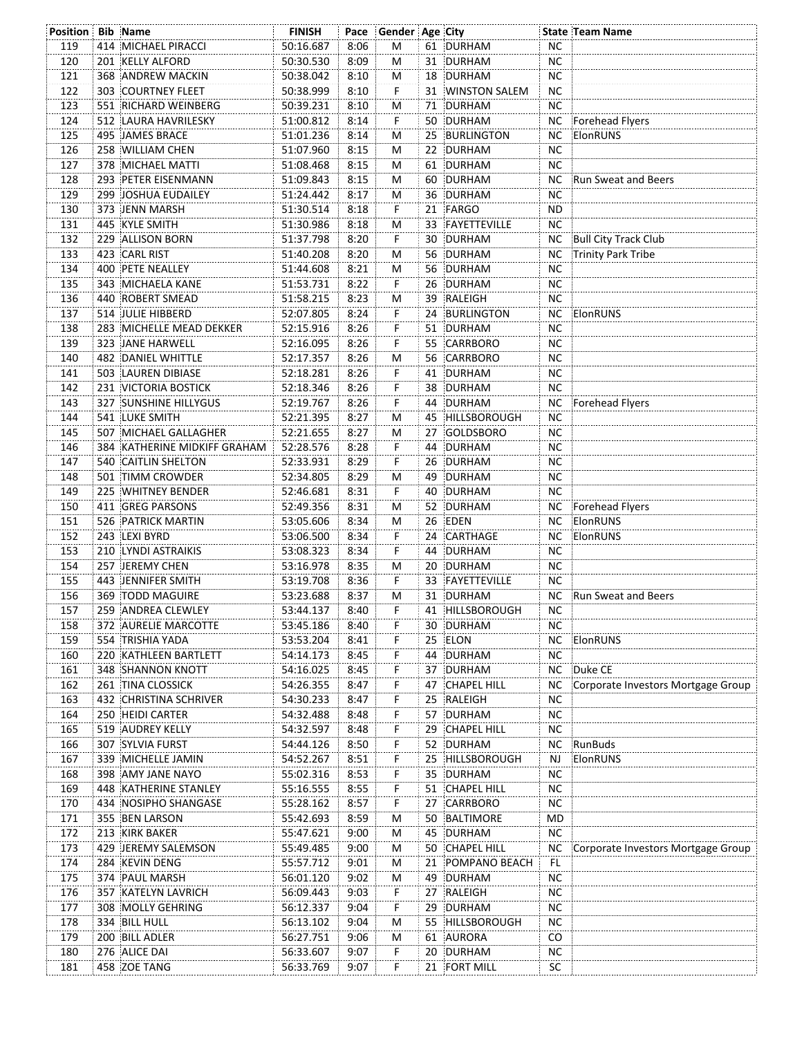| Position Bib Name |                                          | <b>FINISH</b>          |              | Pace Gender Age City |    |                              |                 | <b>State Team Name</b>             |
|-------------------|------------------------------------------|------------------------|--------------|----------------------|----|------------------------------|-----------------|------------------------------------|
| 119               | 414 MICHAEL PIRACCI                      | 50:16.687              | 8:06         | M                    |    | 61 DURHAM                    | <b>NC</b>       |                                    |
| 120               | 201 KELLY ALFORD                         | 50:30.530              | 8:09         | м                    |    | 31 DURHAM                    | NC.             |                                    |
| 121               | 368 ANDREW MACKIN                        | 50:38.042              | 8:10         | М                    |    | 18 DURHAM                    | <b>NC</b>       |                                    |
| 122               | 303 COURTNEY FLEET                       | 50:38.999              | 8:10         | F.                   |    | 31 WINSTON SALEM             | <b>NC</b>       |                                    |
| 123               | 551 RICHARD WEINBERG                     | 50:39.231              | 8:10         | M                    |    | 71 DURHAM                    | NC              |                                    |
| 124               | 512 LAURA HAVRILESKY                     | 51:00.812              | 8:14         | F                    |    | 50 DURHAM                    |                 | NC Forehead Flyers                 |
| 125               | 495 JAMES BRACE                          | 51:01.236              | 8:14         | M                    | 25 | BURLINGTON                   | NC              | ElonRUNS                           |
| 126               | 258 WILLIAM CHEN                         | 51:07.960              | 8:15         | м                    |    | 22 DURHAM                    | <b>NC</b>       |                                    |
| 127               | 378 MICHAEL MATTI                        | 51:08.468              | 8:15         | м                    |    | 61 DURHAM                    | <b>NC</b>       |                                    |
| 128               | 293 PETER EISENMANN                      | 51:09.843              | 8:15         | M                    |    | 60 DURHAM                    |                 | NC Run Sweat and Beers             |
| 129               | 299 JOSHUA EUDAILEY                      | 51:24.442              | 8:17         | М                    |    | 36 DURHAM                    | NC.             |                                    |
| 130               | 373 JENN MARSH                           | 51:30.514              | 8:18         | F.                   |    | 21 FARGO                     | ND              |                                    |
| 131               | 445 KYLE SMITH                           | 51:30.986              | 8:18         | M                    |    | 33 FAYETTEVILLE              | NC.             |                                    |
| 132               | 229 ALLISON BORN                         | 51:37.798              | 8:20         | F                    |    | 30 DURHAM                    |                 | NC Bull City Track Club            |
| 133               | 423 CARL RIST                            | 51:40.208              | 8:20         | M                    |    | 56 DURHAM                    | NC              | Trinity Park Tribe                 |
| 134               | 400 PETE NEALLEY                         | 51:44.608              | 8:21         | M                    | 56 | DURHAM                       | <b>NC</b>       |                                    |
| 135               | 343 MICHAELA KANE                        | 51:53.731              | 8:22         | F                    | 26 | DURHAM                       | <b>NC</b>       |                                    |
| 136               | 440 ROBERT SMEAD                         | 51:58.215              | 8:23         | м                    |    | 39 RALEIGH                   | <b>NC</b>       |                                    |
| 137               | 514 JULIE HIBBERD                        | 52:07.805              | 8:24         | F                    |    | 24 BURLINGTON                |                 | NC ElonRUNS                        |
| 138               | 283 MICHELLE MEAD DEKKER                 | 52:15.916              | 8:26         | F                    |    | 51 DURHAM                    | NC.             |                                    |
| 139               | 323 JANE HARWELL                         | 52:16.095              | 8:26         | F.                   |    | 55 CARRBORO                  | <b>NC</b>       |                                    |
| 140               | <b>482 DANIEL WHITTLE</b>                | 52:17.357              | 8:26         | M                    |    | 56 CARRBORO                  | <b>NC</b>       |                                    |
| 141               | 503 LAUREN DIBIASE                       | 52:18.281              | 8:26         | F.                   |    | 41 DURHAM                    | <b>NC</b>       |                                    |
| 142               | 231 VICTORIA BOSTICK                     | 52:18.346              | 8:26         | F                    |    | 38 DURHAM                    | <b>NC</b>       |                                    |
| 143               | 327 SUNSHINE HILLYGUS                    | 52:19.767              | 8:26         | $\dddot{\mathsf{F}}$ |    | 44 DURHAM                    | <b>NC</b>       | Forehead Flyers                    |
| 144               | 541 LUKE SMITH                           | 52:21.395              | 8:27         | м                    | 45 | HILLSBOROUGH                 | <b>NC</b>       |                                    |
| 145               | 507 MICHAEL GALLAGHER                    | 52:21.655              | 8:27         | M                    | 27 | GOLDSBORO                    | <b>NC</b>       |                                    |
| 146               | 384 KATHERINE MIDKIFF GRAHAM             | 52:28.576              | 8:28         | F                    |    | 44 DURHAM                    | <b>NC</b>       |                                    |
| 147               | 540 CAITLIN SHELTON                      |                        | 8:29         | F                    | 26 | DURHAM                       | NC.             |                                    |
| 148               | 501 TIMM CROWDER                         | 52:33.931              | 8:29         | М                    |    | 49 DURHAM                    | <b>NC</b>       |                                    |
| 149               | 225 WHITNEY BENDER                       | 52:34.805<br>52:46.681 | 8:31         | F.                   |    | 40 DURHAM                    | NC.             |                                    |
|                   | 411 GREG PARSONS                         |                        | 8:31         |                      |    | 52 DURHAM                    |                 |                                    |
| 150<br>151        | 526 PATRICK MARTIN                       | 52:49.356              | 8:34         | м<br>M               |    | 26 EDEN                      |                 | NC Forehead Flyers<br>NC ElonRUNS  |
| 152               | 243 LEXI BYRD                            | 53:05.606              | 8:34         | F                    |    | 24 CARTHAGE                  | NC              |                                    |
| 153               | 210 LYNDI ASTRAIKIS                      | 53:06.500              |              | F.                   |    | 44 DURHAM                    | NC.             | ElonRUNS                           |
|                   |                                          | 53:08.323              | 8:34         |                      |    |                              | <b>NC</b>       |                                    |
| 154<br>155        | 257 JEREMY CHEN<br>443 JENNIFER SMITH    | 53:16.978              | 8:35<br>8:36 | M<br>F               |    | 20 DURHAM<br>33 FAYETTEVILLE | <b>NC</b>       |                                    |
| 156               | 369 TODD MAGUIRE                         | 53:19.708              | 8:37         | М                    |    | 31 DURHAM                    |                 | NC Run Sweat and Beers             |
|                   |                                          | 53:23.688              |              | F                    |    |                              |                 |                                    |
| 157               | 259 ANDREA CLEWLEY                       | 53:44.137<br>53:45.186 | 8:40         |                      |    | 41 HILLSBOROUGH              | NС              |                                    |
| 158<br>159        | 372 AURELIE MARCOTTE<br>554 TRISHIA YADA |                        | 8:40         | F                    |    | 30 DURHAM<br>ELON            | NC.             |                                    |
|                   | 220 KATHLEEN BARTLETT                    | 53:53.204              | 8:41         | F<br>F               | 25 | 44 DURHAM                    | NC<br><b>NC</b> | ElonRUNS                           |
| 160               |                                          | 54:14.173              | 8:45         | F                    |    |                              |                 |                                    |
| 161               | 348 SHANNON KNOTT                        | 54:16.025              | 8:45         |                      | 37 | DURHAM                       | NC              | Duke CE                            |
| 162               | 261 TINA CLOSSICK                        | 54:26.355              | 8:47         | F                    | 47 | CHAPEL HILL                  | NC.             | Corporate Investors Mortgage Group |
| 163               | 432 CHRISTINA SCHRIVER                   | 54:30.233              | 8:47         | F                    | 25 | RALEIGH                      | NC.             |                                    |
| 164               | 250 HEIDI CARTER                         | 54:32.488              | 8:48         | F                    |    | 57 DURHAM                    | <b>NC</b>       |                                    |
| 165               | 519 AUDREY KELLY                         | 54:32.597              | 8:48         | F                    | 29 | <b>CHAPEL HILL</b>           | NC.             |                                    |
| 166               | 307 SYLVIA FURST                         | 54:44.126              | 8:50         | F                    |    | 52 DURHAM                    | NC              | RunBuds                            |
| 167               | 339 MICHELLE JAMIN                       | 54:52.267              | 8:51         | F.                   | 25 | HILLSBOROUGH                 | NJ              | ElonRUNS                           |
| 168               | 398 AMY JANE NAYO                        | 55:02.316              | 8:53         | F.                   | 35 | DURHAM                       | ΝC              |                                    |
| 169               | 448 KATHERINE STANLEY                    | 55:16.555              | 8:55         | F                    |    | 51 CHAPEL HILL               | <b>NC</b>       |                                    |
| 170               | 434 NOSIPHO SHANGASE                     | 55:28.162              | 8:57         | F                    | 27 | CARRBORO                     | ΝC              |                                    |
| 171               | 355 BEN LARSON                           | 55:42.693              | 8:59         | м                    | 50 | BALTIMORE                    | MD              |                                    |
| 172               | 213 KIRK BAKER                           | 55:47.621              | 9:00         | м                    | 45 | DURHAM                       | <b>NC</b>       |                                    |
| 173               | 429 JEREMY SALEMSON                      | 55:49.485              | 9:00         | M                    |    | 50 CHAPEL HILL               | NC              | Corporate Investors Mortgage Group |
| 174               | 284 KEVIN DENG                           | 55:57.712              | 9:01         | м                    | 21 | POMPANO BEACH                | FL              |                                    |
| 175               | 374 PAUL MARSH                           | 56:01.120              | 9:02         | M                    | 49 | DURHAM                       | ΝC              |                                    |
| 176               | 357 KATELYN LAVRICH                      | 56:09.443              | 9:03         | F.                   |    | 27 RALEIGH                   | <b>NC</b>       |                                    |
| 177               | 308 MOLLY GEHRING                        | 56:12.337              | 9:04         | F.                   | 29 | DURHAM                       | <b>NC</b>       |                                    |
| 178               | 334 BILL HULL                            | 56:13.102              | 9:04         | M                    | 55 | HILLSBOROUGH                 | <b>NC</b>       |                                    |
| 179               | 200 BILL ADLER                           | 56:27.751              | 9:06         | M                    | 61 | AURORA                       | CO              |                                    |
| 180               | 276 ALICE DAI                            | 56:33.607              | 9:07         | F                    | 20 | DURHAM                       | ΝC              |                                    |
| 181               | 458 ZOE TANG                             | 56:33.769              | 9:07         | F                    |    | 21 FORT MILL                 | <b>SC</b>       |                                    |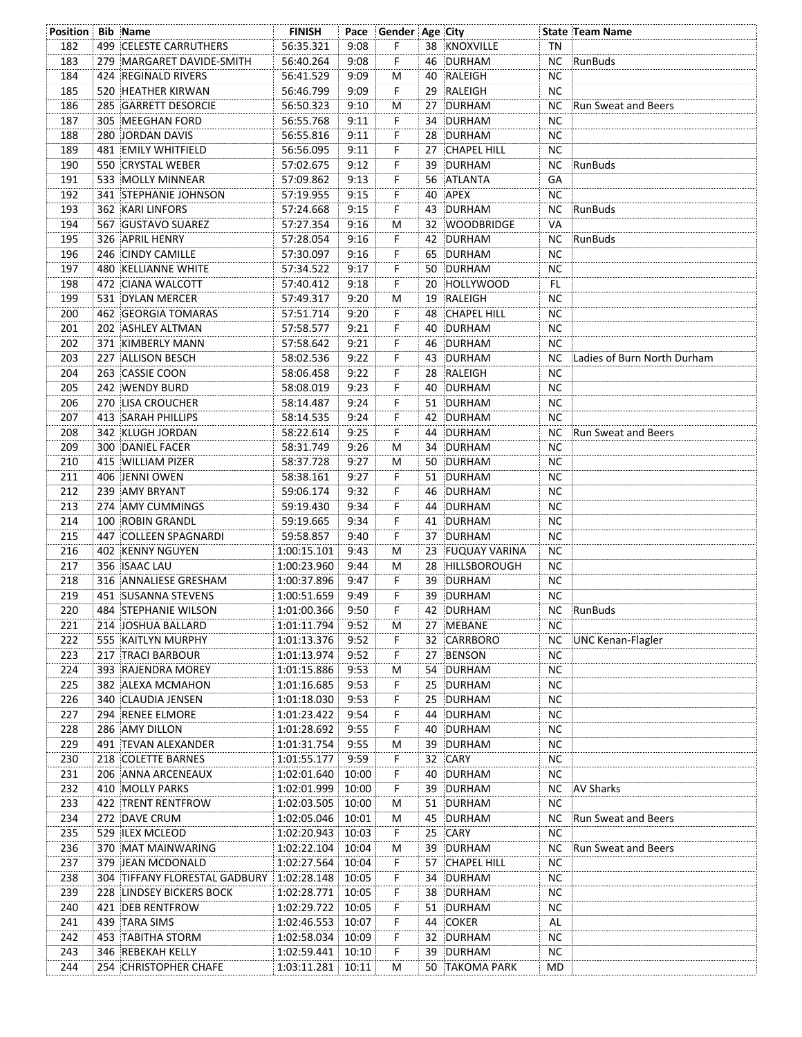| <b>Position Bib Name</b> |                               | <b>FINISH</b>     |      | Pace Gender Age City |    |                    |           | <b>State Team Name</b>      |
|--------------------------|-------------------------------|-------------------|------|----------------------|----|--------------------|-----------|-----------------------------|
| 182                      | 499 CELESTE CARRUTHERS        | 56:35.321         | 9:08 | F.                   |    | 38 KNOXVILLE       | TN        |                             |
| 183                      | 279 MARGARET DAVIDE-SMITH     | 56:40.264         | 9:08 | F                    |    | 46 DURHAM          |           | NC RunBuds                  |
| 184                      | 424 REGINALD RIVERS           | 56:41.529         | 9:09 | м                    | 40 | RALEIGH            | <b>NC</b> |                             |
| 185                      | 520 HEATHER KIRWAN            | 56:46.799         | 9:09 | F                    |    | 29 RALEIGH         | <b>NC</b> |                             |
| 186                      | 285 GARRETT DESORCIE          | 56:50.323         | 9:10 | M                    |    | 27 DURHAM          | NC        | Run Sweat and Beers         |
| 187                      | 305 MEEGHAN FORD              | 56:55.768         | 9:11 | F.                   |    | 34 DURHAM          | ΝC        |                             |
| 188                      | 280 JORDAN DAVIS              | 56:55.816         | 9:11 | F                    |    | 28 DURHAM          | <b>NC</b> |                             |
| 189                      | 481 EMILY WHITFIELD           | 56:56.095         | 9:11 | F                    | 27 | <b>CHAPEL HILL</b> | ΝC        |                             |
| 190                      | 550 CRYSTAL WEBER             | 57:02.675         | 9:12 | F                    | 39 | DURHAM             | NC        | RunBuds                     |
| 191                      | 533 MOLLY MINNEAR             | 57:09.862         | 9:13 | F                    |    | 56 ATLANTA         | GA        |                             |
| 192                      | 341 STEPHANIE JOHNSON         | 57:19.955         | 9:15 | F                    |    | 40 APEX            | <b>NC</b> |                             |
| 193                      | <b>362 KARI LINFORS</b>       | 57:24.668         | 9:15 | F                    |    | 43 DURHAM          |           | NC RunBuds                  |
| 194                      | 567 GUSTAVO SUAREZ            | 57:27.354         |      |                      |    | 32 WOODBRIDGE      | VA        |                             |
|                          |                               |                   | 9:16 | м                    |    |                    |           |                             |
| 195                      | 326 APRIL HENRY               | 57:28.054         | 9:16 | F.                   |    | 42 DURHAM          | NC.       | RunBuds                     |
| 196                      | 246 CINDY CAMILLE             | 57:30.097         | 9:16 | F.                   |    | 65 DURHAM          | ΝC        |                             |
| 197                      | <b>480 KELLIANNE WHITE</b>    | 57:34.522         | 9:17 | F                    |    | 50 DURHAM          | <b>NC</b> |                             |
| 198                      | 472 CIANA WALCOTT             | 57:40.412         | 9:18 | F                    | 20 | HOLLYWOOD          | FL.       |                             |
| 199                      | 531 DYLAN MERCER              | 57:49.317         | 9:20 | M                    | 19 | RALEIGH            | <b>NC</b> |                             |
| 200                      | 462 GEORGIA TOMARAS           | 57:51.714         | 9:20 | F                    |    | 48 CHAPEL HILL     | ΝC        |                             |
| 201                      | 202 ASHLEY ALTMAN             | 57:58.577         | 9:21 | F                    | 40 | DURHAM             | ΝC        |                             |
| 202                      | 371 KIMBERLY MANN             | 57:58.642         | 9:21 | F                    |    | 46 DURHAM          | <b>NC</b> |                             |
| 203                      | 227 ALLISON BESCH             | 58:02.536         | 9:22 | F                    |    | 43 DURHAM          | NC.       | Ladies of Burn North Durham |
| 204                      | 263 CASSIE COON               | 58:06.458         | 9:22 | F.                   |    | 28 RALEIGH         | NС        |                             |
| 205                      | 242 WENDY BURD                | 58:08.019         | 9:23 | F                    |    | 40 DURHAM          | <b>NC</b> |                             |
| 206                      | 270 LISA CROUCHER             | 58:14.487         | 9:24 | F.                   |    | 51 DURHAM          | <b>NC</b> |                             |
| 207                      | 413 SARAH PHILLIPS            | 58:14.535         | 9:24 | F                    |    | 42 DURHAM          | ΝC        |                             |
| 208                      | 342 KLUGH JORDAN              | 58:22.614         | 9:25 | F                    |    | 44 DURHAM          | NC.       | Run Sweat and Beers         |
| 209                      | 300 DANIEL FACER              | 58:31.749         | 9:26 | м                    |    | 34 DURHAM          | ΝC        |                             |
| 210                      | 415 WILLIAM PIZER             | 58:37.728         | 9:27 | м                    |    | 50 DURHAM          | ΝC        |                             |
| 211                      | 406 JENNI OWEN                | 58:38.161         | 9:27 | F                    |    | 51 DURHAM          | <b>NC</b> |                             |
| 212                      | 239 AMY BRYANT                | 59:06.174         | 9:32 | F.                   |    | 46 DURHAM          | ΝC        |                             |
|                          |                               |                   |      |                      |    |                    |           |                             |
| 213                      | 274 AMY CUMMINGS              | 59:19.430         | 9:34 | F.                   |    | 44 DURHAM          | NС        |                             |
| 214                      | 100 ROBIN GRANDL              | 59:19.665         | 9:34 | F.                   |    | 41 DURHAM          | NC.       |                             |
| 215                      | 447 COLLEEN SPAGNARDI         | 59:58.857         | 9:40 | F.                   |    | 37 DURHAM          | <b>NC</b> |                             |
| 216                      | 402 KENNY NGUYEN              | 1:00:15.101       | 9:43 | M                    |    | 23 FUQUAY VARINA   | ΝC        |                             |
| 217                      | 356 ISAAC LAU                 | 1:00:23.960       | 9:44 | M                    |    | 28 HILLSBOROUGH    | <b>NC</b> |                             |
| 218                      | 316 ANNALIESE GRESHAM         | 1:00:37.896       | 9:47 | F                    | 39 | DURHAM             | ΝC        |                             |
| 219                      | 451 SUSANNA STEVENS           | 1:00:51.659       | 9:49 | F                    |    | 39 DURHAM          | <b>NC</b> |                             |
| 220                      | 484 STEPHANIE WILSON          | 1:01:00.366 9:50  |      | F                    |    | 42 DURHAM          |           | NC RunBuds                  |
| 221                      | 214 JOSHUA BALLARD            | 1:01:11.794 9:52  |      | M                    |    | 27 MEBANE          | NС        |                             |
| 222                      | 555 KAITLYN MURPHY            | 1:01:13.376       | 9:52 | F.                   |    | 32 CARRBORO        | NC        | UNC Kenan-Flagler           |
| 223                      | 217 TRACI BARBOUR             | 1:01:13.974       | 9:52 | F.                   |    | 27 BENSON          | NC.       |                             |
| 224                      | 393 RAJENDRA MOREY            | 1:01:15.886       | 9:53 | M                    |    | 54 DURHAM          | <b>NC</b> |                             |
| 225                      | 382 ALEXA MCMAHON             | 1:01:16.685       | 9:53 | F                    | 25 | DURHAM             | <b>NC</b> |                             |
| 226                      | 340 CLAUDIA JENSEN            | 1:01:18.030       | 9:53 | F                    |    | 25 DURHAM          | <b>NC</b> |                             |
| 227                      | 294 RENEE ELMORE              | 1:01:23.422       | 9:54 | F                    |    | 44 DURHAM          | NC.       |                             |
| 228                      | 286 AMY DILLON                | 1:01:28.692       | 9:55 | F                    |    | 40 DURHAM          | NC.       |                             |
| 229                      | 491 TEVAN ALEXANDER           | 1:01:31.754       | 9:55 | M                    |    | 39 DURHAM          | <b>NC</b> |                             |
| 230                      | 218 COLETTE BARNES            | 1:01:55.177 9:59  |      | F.                   |    | 32 CARY            | ΝC        |                             |
| 231                      | 206 ANNA ARCENEAUX            | 1:02:01.640 10:00 |      | F.                   |    | 40 DURHAM          | NC.       |                             |
| 232                      | 410 MOLLY PARKS               | 1:02:01.999 10:00 |      | F.                   |    | 39 DURHAM          | NC .      | <b>AV Sharks</b>            |
| 233                      | 422 TRENT RENTFROW            | 1:02:03.505 10:00 |      | M                    |    | 51 DURHAM          | NС        |                             |
| 234                      | 272 DAVE CRUM                 | 1:02:05.046 10:01 |      |                      | 45 | DURHAM             | NC.       | Run Sweat and Beers         |
| 235                      | 529 ILEX MCLEOD               | 1:02:20.943 10:03 |      | M<br>F.              |    | 25 CARY            | NC.       |                             |
| 236                      |                               | 1:02:22.104 10:04 |      |                      |    | DURHAM             |           | Run Sweat and Beers         |
|                          | 370 MAT MAINWARING            |                   |      | M                    | 39 |                    | NC .      |                             |
| 237                      | 379 JEAN MCDONALD             | 1:02:27.564 10:04 |      | F.                   |    | 57 CHAPEL HILL     | NC.       |                             |
| 238                      | 304 TIFFANY FLORESTAL GADBURY | 1:02:28.148 10:05 |      | F                    |    | 34 DURHAM          | <b>NC</b> |                             |
| 239                      | 228 LINDSEY BICKERS BOCK      | 1:02:28.771 10:05 |      | F,                   |    | 38 DURHAM          | ΝC        |                             |
| 240                      | 421 DEB RENTFROW              | 1:02:29.722 10:05 |      | F.                   |    | 51 DURHAM          | ΝC        |                             |
| 241                      | 439 TARA SIMS                 | 1:02:46.553 10:07 |      | F.                   |    | 44 COKER           | AL        |                             |
| 242                      | 453 TABITHA STORM             | 1:02:58.034 10:09 |      | F.                   |    | 32 DURHAM          | NC.       |                             |
| 243                      | 346 REBEKAH KELLY             | 1:02:59.441 10:10 |      | F.                   |    | 39 DURHAM          | <b>NC</b> |                             |
| 244                      | 254 CHRISTOPHER CHAFE         | 1:03:11.281 10:11 |      | м                    |    | 50 TAKOMA PARK     | MD.       |                             |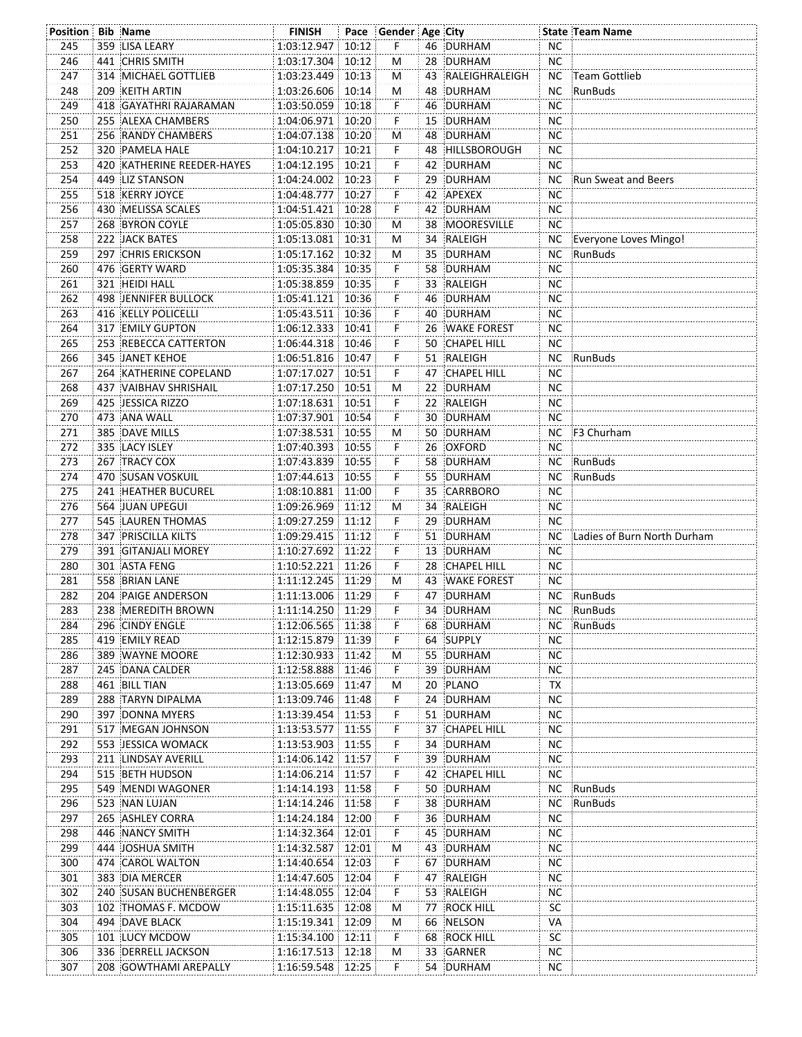| <b>Position Bib Name</b> |                             | <b>FINISH</b>     | Pace Gender Age City |    |                   |           | <b>State Team Name</b>      |
|--------------------------|-----------------------------|-------------------|----------------------|----|-------------------|-----------|-----------------------------|
| 245                      | 359 LISA LEARY              | 1:03:12.947 10:12 | F                    |    | 46 DURHAM         | <b>NC</b> |                             |
| 246                      | 441 CHRIS SMITH             | 1:03:17.304 10:12 | М                    |    | 28 DURHAM         | <b>NC</b> |                             |
| 247                      | <b>314 MICHAEL GOTTLIEB</b> | 1:03:23.449 10:13 | M                    |    | 43 RALEIGHRALEIGH |           | NC Team Gottlieb            |
| 248                      | 209 KEITH ARTIN             | 1:03:26.606 10:14 | M                    |    | 48 DURHAM         | NC        | RunBuds                     |
| 249                      | 418 GAYATHRI RAJARAMAN      | 1:03:50.059 10:18 | F.                   |    | 46 DURHAM         | <b>NC</b> |                             |
| 250                      | 255 ALEXA CHAMBERS          | 1:04:06.971 10:20 | F                    |    | 15 DURHAM         | <b>NC</b> |                             |
| 251                      | 256 RANDY CHAMBERS          | 1:04:07.138 10:20 | M                    |    | 48 DURHAM         | <b>NC</b> |                             |
| 252                      | 320 PAMELA HALE             | 1:04:10.217 10:21 | F                    |    | 48 HILLSBOROUGH   | <b>NC</b> |                             |
| 253                      | 420 KATHERINE REEDER-HAYES  | 1:04:12.195 10:21 | F                    |    | 42 DURHAM         | <b>NC</b> |                             |
| 254                      | 449 LIZ STANSON             | 1:04:24.002 10:23 | F                    |    | 29 DURHAM         |           | NC Run Sweat and Beers      |
| 255                      | 518 KERRY JOYCE             | 1:04:48.777 10:27 | F                    |    | 42 APEXEX         | NC.       |                             |
| 256                      | 430 MELISSA SCALES          | 1:04:51.421 10:28 | F.                   |    | 42 DURHAM         | <b>NC</b> |                             |
| 257                      | 268 BYRON COYLE             | 1:05:05.830 10:30 | М                    |    | 38 MOORESVILLE    | <b>NC</b> |                             |
| 258                      | 222 JACK BATES              | 1:05:13.081 10:31 | М                    |    | 34 RALEIGH        |           | NC Everyone Loves Mingo!    |
| 259                      | 297 CHRIS ERICKSON          | 1:05:17.162 10:32 | M                    |    | 35 DURHAM         |           | NC RunBuds                  |
| 260                      | 476 GERTY WARD              | 1:05:35.384 10:35 | F                    |    | 58 DURHAM         | <b>NC</b> |                             |
| 261                      | 321 HEIDI HALL              | 1:05:38.859 10:35 | F                    |    | 33 RALEIGH        | ΝC        |                             |
| 262                      | <b>498 JENNIFER BULLOCK</b> | 1:05:41.121 10:36 | F                    |    | 46 DURHAM         | NC.       |                             |
| 263                      | 416 KELLY POLICELLI         | 1:05:43.511 10:36 | F                    |    | 40 DURHAM         | <b>NC</b> |                             |
| 264                      | 317 EMILY GUPTON            | 1:06:12.333 10:41 | F                    |    | 26 WAKE FOREST    | NC.       |                             |
| 265                      | 253 REBECCA CATTERTON       | 1:06:44.318 10:46 | F.                   |    | 50 CHAPEL HILL    | NC.       |                             |
| 266                      | <b>345 JANET KEHOE</b>      | 1:06:51.816 10:47 | F.                   |    | 51 RALEIGH        |           | NC RunBuds                  |
| 267                      | 264 KATHERINE COPELAND      | 1:07:17.027 10:51 | F.                   |    | 47 CHAPEL HILL    | ΝC        |                             |
| 268                      | 437 VAIBHAV SHRISHAIL       | 1:07:17.250 10:51 | M                    |    | 22 DURHAM         | <b>NC</b> |                             |
| 269                      | 425 JESSICA RIZZO           | 1:07:18.631 10:51 | F                    |    | 22 RALEIGH        | <b>NC</b> |                             |
| 270                      | 473 ANA WALL                | 1:07:37.901 10:54 | F                    |    | 30 DURHAM         | NC.       |                             |
| 271                      | 385 DAVE MILLS              | 1:07:38.531 10:55 | M                    |    | 50 DURHAM         |           | NC F3 Churham               |
| 272                      | 335 LACY ISLEY              | 1:07:40.393 10:55 | F                    |    | 26 OXFORD         | <b>NC</b> |                             |
| 273                      | 267 TRACY COX               | 1:07:43.839 10:55 | F                    |    | 58 DURHAM         |           | NC RunBuds                  |
| 274                      | 470 SUSAN VOSKUIL           | 1:07:44.613 10:55 | F.                   |    | 55 DURHAM         | NC        | RunBuds                     |
| 275                      | 241 HEATHER BUCUREL         | 1:08:10.881 11:00 | F.                   |    | 35 CARRBORO       | NC.       |                             |
| 276                      | 564 JUAN UPEGUI             | 1:09:26.969 11:12 | M                    |    | 34 RALEIGH        | NC        |                             |
| 277                      | 545 LAUREN THOMAS           | 1:09:27.259 11:12 | F.                   |    | 29 DURHAM         | NC        |                             |
| 278                      | <b>347 PRISCILLA KILTS</b>  | 1:09:29.415 11:12 | F                    |    | 51 DURHAM         | NC.       | Ladies of Burn North Durham |
| 279                      | 391 GITANJALI MOREY         | 1:10:27.692 11:22 | F                    |    | 13 DURHAM         | ΝC        |                             |
| 280                      | 301 ASTA FENG               | 1:10:52.221 11:26 | F                    |    | 28 CHAPEL HILL    | <b>NC</b> |                             |
| 281                      | 558 BRIAN LANE              | 1:11:12.245 11:29 | М                    |    | 43 WAKE FOREST    | NC        |                             |
| 282                      | 204 PAIGE ANDERSON          | 1:11:13.006 11:29 | F.                   |    | 47 DURHAM         |           | NC RunBuds                  |
| 283                      | 238 MEREDITH BROWN          | 1:11:14.250 11:29 | F                    |    | 34 DURHAM         | NC.       | RunBuds                     |
| 284                      | 296 CINDY ENGLE             | 1:12:06.565 11:38 | F                    |    | 68 DURHAM         | NC.       | :RunBuds                    |
| 285                      | 419 EMILY READ              | 1:12:15.879 11:39 | F.                   |    | 64 SUPPLY         | NC.       |                             |
| 286                      | 389 WAYNE MOORE             | 1:12:30.933 11:42 | м                    |    | 55 DURHAM         | ΝC        |                             |
| 287                      | 245 DANA CALDER             | 1:12:58.888 11:46 | F                    | 39 | <b>DURHAM</b>     | NC.       |                             |
| 288                      | 461 BILL TIAN               | 1:13:05.669 11:47 | M                    | 20 | PLANO             | TX        |                             |
| 289                      | 288 TARYN DIPALMA           | 1:13:09.746 11:48 | F                    |    | 24 DURHAM         | NC.       |                             |
| 290                      | 397 DONNA MYERS             | 1:13:39.454 11:53 | F                    |    | 51 DURHAM         | NC.       |                             |
| 291                      | 517 MEGAN JOHNSON           | 1:13:53.577 11:55 | F                    |    | 37 CHAPEL HILL    | NC.       |                             |
| 292                      | 553 JESSICA WOMACK          | 1:13:53.903 11:55 | F                    |    | 34 DURHAM         | NC.       |                             |
| 293                      | 211 LINDSAY AVERILL         | 1:14:06.142 11:57 | F                    |    | 39 DURHAM         | NC.       |                             |
| 294                      | 515 BETH HUDSON             | 1:14:06.214 11:57 | F                    |    | 42 CHAPEL HILL    | NC.       |                             |
| 295                      | 549 MENDI WAGONER           | 1:14:14.193 11:58 | F                    |    | 50 DURHAM         | NC        | :RunBuds                    |
| 296                      | 523 NAN LUJAN               | 1:14:14.246 11:58 | F                    | 38 | <b>DURHAM</b>     | NC.       | RunBuds                     |
| 297                      | 265 ASHLEY CORRA            | 1:14:24.184 12:00 | F                    |    | 36 DURHAM         | NC.       |                             |
| 298                      | 446 NANCY SMITH             | 1:14:32.364 12:01 | F                    |    | 45 DURHAM         | ΝC        |                             |
| 299                      | 444 JOSHUA SMITH            | 1:14:32.587 12:01 | M                    |    | 43 DURHAM         | <b>NC</b> |                             |
| 300                      | 474 CAROL WALTON            | 1:14:40.654 12:03 | F                    |    | 67 DURHAM         | NC.       |                             |
| 301                      | 383 DIA MERCER              | 1:14:47.605 12:04 | F                    | 47 | RALEIGH           | NC.       |                             |
| 302                      | 240 SUSAN BUCHENBERGER      | 1:14:48.055 12:04 | F.                   |    | 53 RALEIGH        | NC.       |                             |
| 303                      | 102 THOMAS F. MCDOW         | 1:15:11.635 12:08 | M                    |    | 77 ROCK HILL      | <b>SC</b> |                             |
| 304                      | 494 DAVE BLACK              | 1:15:19.341 12:09 | M                    |    | 66 NELSON         | VA        |                             |
| 305                      | 101 LUCY MCDOW              | 1:15:34.100 12:11 | F                    | 68 | ROCK HILL         | SC.       |                             |
| 306                      | 336 DERRELL JACKSON         | 1:16:17.513 12:18 | м                    |    | 33 GARNER         | NC.       |                             |
| 307                      | 208 GOWTHAMI AREPALLY       | 1:16:59.548 12:25 | F                    |    | 54 DURHAM         | ΝC        |                             |